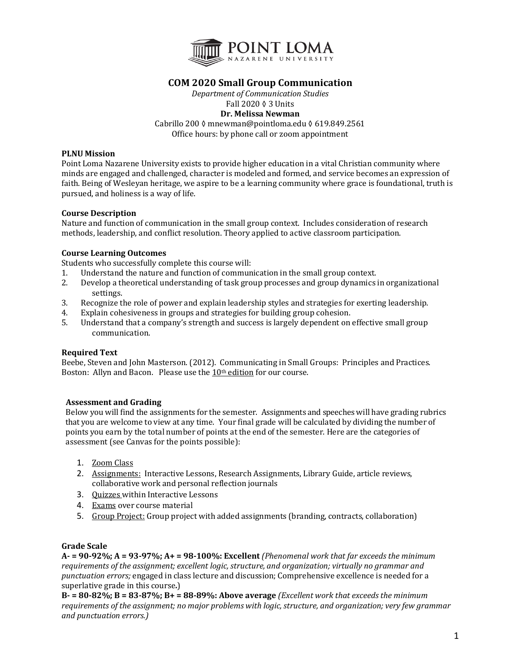

# **COM 2020 Small Group Communication**

*Department of Communication Studies* Fall 2020 ♦ 3 Units **Dr. Melissa Newman** Cabrillo 200 ◊ mnewman@pointloma.edu ◊ 619.849.2561 Office hours: by phone call or zoom appointment

## **PLNU Mission**

Point Loma Nazarene University exists to provide higher education in a vital Christian community where minds are engaged and challenged, character is modeled and formed, and service becomes an expression of faith. Being of Wesleyan heritage, we aspire to be a learning community where grace is foundational, truth is pursued, and holiness is a way of life.

#### **Course Description**

Nature and function of communication in the small group context. Includes consideration of research methods, leadership, and conflict resolution. Theory applied to active classroom participation.

#### **Course Learning Outcomes**

Students who successfully complete this course will:

- 1. Understand the nature and function of communication in the small group context.
- 2. Develop a theoretical understanding of task group processes and group dynamics in organizational settings.
- 3. Recognize the role of power and explain leadership styles and strategies for exerting leadership.
- 4. Explain cohesiveness in groups and strategies for building group cohesion.
- 5. Understand that a company's strength and success is largely dependent on effective small group communication.

#### **Required Text**

Beebe, Steven and John Masterson. (2012). Communicating in Small Groups: Principles and Practices. Boston: Allyn and Bacon. Please use the  $10<sup>th</sup>$  edition for our course.

#### **Assessment and Grading**

Below you will find the assignments for the semester. Assignments and speeches will have grading rubrics that you are welcome to view at any time. Your final grade will be calculated by dividing the number of points you earn by the total number of points at the end of the semester. Here are the categories of assessment (see Canvas for the points possible):

- 1. Zoom Class
- 2. Assignments: Interactive Lessons, Research Assignments, Library Guide, article reviews, collaborative work and personal reflection journals
- 3. Ouizzes within Interactive Lessons
- 4. Exams over course material
- 5. Group Project: Group project with added assignments (branding, contracts, collaboration)

### **Grade Scale**

 $A - 90-92\%$ ;  $A = 93-97\%$ ;  $A + 98-100\%$ : Excellent *(Phenomenal work that far exceeds the minimum requirements of the assignment; excellent logic, structure, and organization; virtually no grammar and punctuation errors;* engaged in class lecture and discussion; Comprehensive excellence is needed for a superlative grade in this course.)

 $B = 80-82\%$ ;  $B = 83-87\%$ ;  $B = 88-89\%$ : Above average *(Excellent work that exceeds the minimum requirements of the assignment; no major problems with logic, structure, and organization; very few grammar and punctuation errors.)*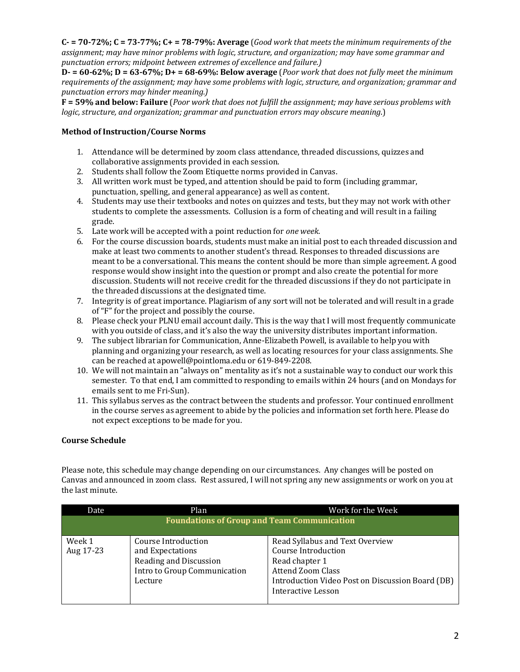$C - 70 - 72\%$ ;  $C = 73 - 77\%$ ;  $C + 78 - 79\%$ : Average (*Good work that meets the minimum requirements of the* assignment; may have minor problems with logic, structure, and organization; may have some grammar and *punctuation errors; midpoint between extremes of excellence and failure.)*

 $D = 60-62\%$ ;  $D = 63-67\%$ ;  $D = 68-69\%$ ; Below average (*Poor work that does not fully meet the minimum requirements of the assignment; may have some problems with logic, structure, and organization; grammar and punctuation errors may hinder meaning.)*

**F** = 59% and below: Failure (*Poor work that does not fulfill the assignment; may have serious problems with logic, structure, and organization; grammar and punctuation errors may obscure meaning.*)

## **Method of Instruction/Course Norms**

- 1. Attendance will be determined by zoom class attendance, threaded discussions, quizzes and collaborative assignments provided in each session.
- 2. Students shall follow the Zoom Etiquette norms provided in Canvas.
- 3. All written work must be typed, and attention should be paid to form (including grammar, punctuation, spelling, and general appearance) as well as content.
- 4. Students may use their textbooks and notes on quizzes and tests, but they may not work with other students to complete the assessments. Collusion is a form of cheating and will result in a failing grade.
- 5. Late work will be accepted with a point reduction for *one* week.
- 6. For the course discussion boards, students must make an initial post to each threaded discussion and make at least two comments to another student's thread. Responses to threaded discussions are meant to be a conversational. This means the content should be more than simple agreement. A good response would show insight into the question or prompt and also create the potential for more discussion. Students will not receive credit for the threaded discussions if they do not participate in the threaded discussions at the designated time.
- 7. Integrity is of great importance. Plagiarism of any sort will not be tolerated and will result in a grade of "F" for the project and possibly the course.
- 8. Please check your PLNU email account daily. This is the way that I will most frequently communicate with you outside of class, and it's also the way the university distributes important information.
- 9. The subject librarian for Communication, Anne-Elizabeth Powell, is available to help you with planning and organizing your research, as well as locating resources for your class assignments. She can be reached at apowell@pointloma.edu or 619-849-2208.
- 10. We will not maintain an "always on" mentality as it's not a sustainable way to conduct our work this semester. To that end, I am committed to responding to emails within 24 hours (and on Mondays for emails sent to me Fri-Sun).
- 11. This syllabus serves as the contract between the students and professor. Your continued enrollment in the course serves as agreement to abide by the policies and information set forth here. Please do not expect exceptions to be made for you.

## **Course Schedule**

Please note, this schedule may change depending on our circumstances. Any changes will be posted on Canvas and announced in zoom class. Rest assured, I will not spring any new assignments or work on you at the last minute.

| Date                                               | Plan                         | Work for the Week                                |  |  |
|----------------------------------------------------|------------------------------|--------------------------------------------------|--|--|
| <b>Foundations of Group and Team Communication</b> |                              |                                                  |  |  |
|                                                    |                              |                                                  |  |  |
| Week 1                                             | Course Introduction          | Read Syllabus and Text Overview                  |  |  |
| Aug 17-23                                          | and Expectations             | <b>Course Introduction</b>                       |  |  |
|                                                    | Reading and Discussion       | Read chapter 1                                   |  |  |
|                                                    | Intro to Group Communication | <b>Attend Zoom Class</b>                         |  |  |
|                                                    | Lecture                      | Introduction Video Post on Discussion Board (DB) |  |  |
|                                                    |                              | <b>Interactive Lesson</b>                        |  |  |
|                                                    |                              |                                                  |  |  |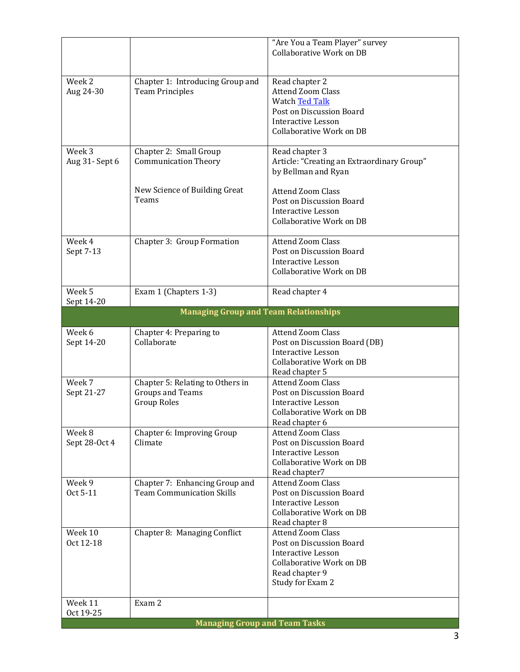|                         |                                              | "Are You a Team Player" survey<br><b>Collaborative Work on DB</b> |
|-------------------------|----------------------------------------------|-------------------------------------------------------------------|
|                         |                                              |                                                                   |
| Week 2                  | Chapter 1: Introducing Group and             | Read chapter 2                                                    |
| Aug 24-30               | <b>Team Principles</b>                       | <b>Attend Zoom Class</b>                                          |
|                         |                                              | Watch Ted Talk                                                    |
|                         |                                              | Post on Discussion Board                                          |
|                         |                                              | <b>Interactive Lesson</b>                                         |
|                         |                                              | Collaborative Work on DB                                          |
| Week 3                  | Chapter 2: Small Group                       | Read chapter 3                                                    |
| Aug 31- Sept 6          | <b>Communication Theory</b>                  | Article: "Creating an Extraordinary Group"                        |
|                         |                                              | by Bellman and Ryan                                               |
|                         | New Science of Building Great                | <b>Attend Zoom Class</b>                                          |
|                         | Teams                                        | Post on Discussion Board                                          |
|                         |                                              | <b>Interactive Lesson</b>                                         |
|                         |                                              | Collaborative Work on DB                                          |
| Week 4                  | Chapter 3: Group Formation                   | <b>Attend Zoom Class</b>                                          |
| Sept 7-13               |                                              | Post on Discussion Board                                          |
|                         |                                              | <b>Interactive Lesson</b>                                         |
|                         |                                              | Collaborative Work on DB                                          |
| Week 5<br>Sept 14-20    | Exam 1 (Chapters 1-3)                        | Read chapter 4                                                    |
|                         | <b>Managing Group and Team Relationships</b> |                                                                   |
| Week 6                  | Chapter 4: Preparing to                      | <b>Attend Zoom Class</b>                                          |
| Sept 14-20              | Collaborate                                  | Post on Discussion Board (DB)                                     |
|                         |                                              | <b>Interactive Lesson</b>                                         |
|                         |                                              | Collaborative Work on DB                                          |
|                         |                                              | Read chapter 5                                                    |
| Week 7                  | Chapter 5: Relating to Others in             | <b>Attend Zoom Class</b>                                          |
| Sept 21-27              | <b>Groups and Teams</b>                      | Post on Discussion Board                                          |
|                         | <b>Group Roles</b>                           | <b>Interactive Lesson</b>                                         |
|                         |                                              | Collaborative Work on DB                                          |
|                         |                                              | Read chapter 6<br><b>Attend Zoom Class</b>                        |
| Week 8<br>Sept 28-Oct 4 | Chapter 6: Improving Group<br>Climate        | Post on Discussion Board                                          |
|                         |                                              | Interactive Lesson                                                |
|                         |                                              | Collaborative Work on DB                                          |
|                         |                                              | Read chapter7                                                     |
| Week 9                  | Chapter 7: Enhancing Group and               | <b>Attend Zoom Class</b>                                          |
| Oct 5-11                | <b>Team Communication Skills</b>             | Post on Discussion Board                                          |
|                         |                                              | <b>Interactive Lesson</b>                                         |
|                         |                                              | Collaborative Work on DB                                          |
|                         |                                              | Read chapter 8                                                    |
| Week 10                 | Chapter 8: Managing Conflict                 | Attend Zoom Class                                                 |
| Oct 12-18               |                                              | Post on Discussion Board<br><b>Interactive Lesson</b>             |
|                         |                                              | Collaborative Work on DB                                          |
|                         |                                              | Read chapter 9                                                    |
|                         |                                              | Study for Exam 2                                                  |
|                         |                                              |                                                                   |
| Week 11                 | Exam 2                                       |                                                                   |
| Oct 19-25               |                                              |                                                                   |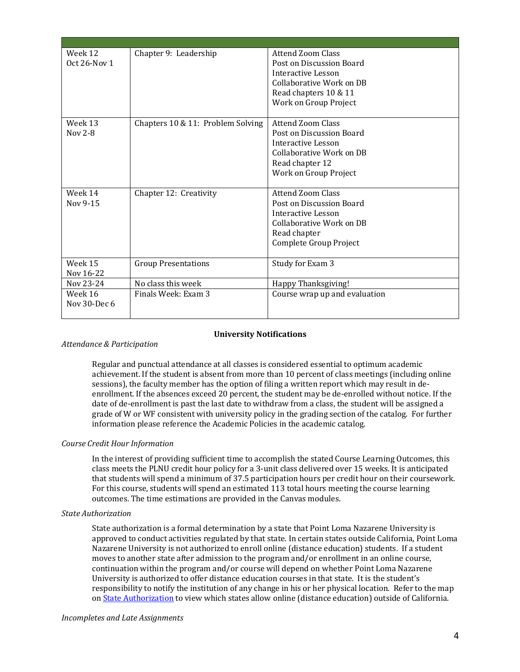| Week 12      | Chapter 9: Leadership             | Attend Zoom Class             |
|--------------|-----------------------------------|-------------------------------|
| Oct 26-Nov 1 |                                   | Post on Discussion Board      |
|              |                                   | Interactive Lesson            |
|              |                                   | Collaborative Work on DB      |
|              |                                   | Read chapters 10 & 11         |
|              |                                   | Work on Group Project         |
| Week 13      | Chapters 10 & 11: Problem Solving | Attend Zoom Class             |
| Nov 2-8      |                                   | Post on Discussion Board      |
|              |                                   | Interactive Lesson            |
|              |                                   | Collaborative Work on DB      |
|              |                                   | Read chapter 12               |
|              |                                   | Work on Group Project         |
| Week 14      | Chapter 12: Creativity            | <b>Attend Zoom Class</b>      |
| Nov 9-15     |                                   | Post on Discussion Board      |
|              |                                   | Interactive Lesson            |
|              |                                   | Collaborative Work on DB      |
|              |                                   | Read chapter                  |
|              |                                   | Complete Group Project        |
| Week 15      | <b>Group Presentations</b>        | Study for Exam 3              |
| Nov 16-22    |                                   |                               |
| Nov 23-24    | No class this week                | Happy Thanksgiving!           |
| Week 16      | Finals Week: Exam 3               | Course wrap up and evaluation |
| Nov 30-Dec 6 |                                   |                               |
|              |                                   |                               |

#### **University Notifications**

#### *Attendance & Participation*

Regular and punctual attendance at all classes is considered essential to optimum academic achievement. If the student is absent from more than 10 percent of class meetings (including online sessions), the faculty member has the option of filing a written report which may result in deenrollment. If the absences exceed 20 percent, the student may be de-enrolled without notice. If the date of de-enrollment is past the last date to withdraw from a class, the student will be assigned a grade of W or WF consistent with university policy in the grading section of the catalog. For further information please reference the Academic Policies in the academic catalog.

#### *Course Credit Hour Information*

In the interest of providing sufficient time to accomplish the stated Course Learning Outcomes, this class meets the PLNU credit hour policy for a 3-unit class delivered over 15 weeks. It is anticipated that students will spend a minimum of 37.5 participation hours per credit hour on their coursework. For this course, students will spend an estimated 113 total hours meeting the course learning outcomes. The time estimations are provided in the Canvas modules.

#### *State Authorization*

State authorization is a formal determination by a state that Point Loma Nazarene University is approved to conduct activities regulated by that state. In certain states outside California, Point Loma Nazarene University is not authorized to enroll online (distance education) students. If a student moves to another state after admission to the program and/or enrollment in an online course, continuation within the program and/or course will depend on whether Point Loma Nazarene University is authorized to offer distance education courses in that state. It is the student's responsibility to notify the institution of any change in his or her physical location. Refer to the map on State Authorization to view which states allow online (distance education) outside of California.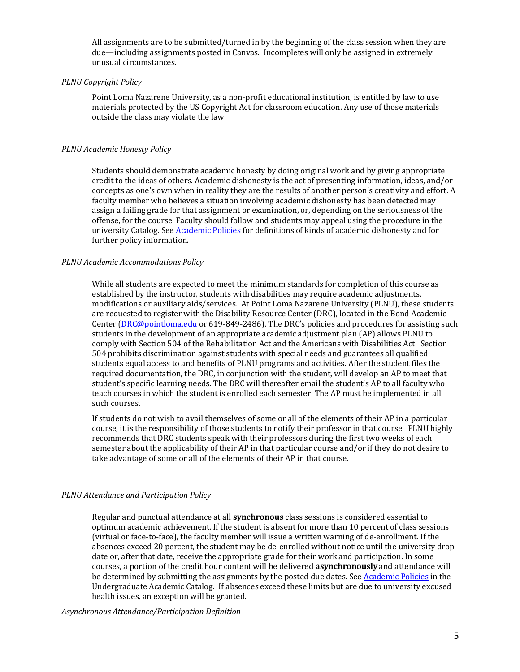All assignments are to be submitted/turned in by the beginning of the class session when they are due—including assignments posted in Canvas. Incompletes will only be assigned in extremely unusual circumstances.

### *PLNU Copyright Policy*

Point Loma Nazarene University, as a non-profit educational institution, is entitled by law to use materials protected by the US Copyright Act for classroom education. Any use of those materials outside the class may violate the law.

### *PLNU Academic Honesty Policy*

Students should demonstrate academic honesty by doing original work and by giving appropriate credit to the ideas of others. Academic dishonesty is the act of presenting information, ideas, and/or concepts as one's own when in reality they are the results of another person's creativity and effort. A faculty member who believes a situation involving academic dishonesty has been detected may assign a failing grade for that assignment or examination, or, depending on the seriousness of the offense, for the course. Faculty should follow and students may appeal using the procedure in the university Catalog. See Academic Policies for definitions of kinds of academic dishonesty and for further policy information.

#### *PLNU Academic Accommodations Policy*

While all students are expected to meet the minimum standards for completion of this course as established by the instructor, students with disabilities may require academic adjustments, modifications or auxiliary aids/services. At Point Loma Nazarene University (PLNU), these students are requested to register with the Disability Resource Center (DRC), located in the Bond Academic Center (DRC@pointloma.edu or 619-849-2486). The DRC's policies and procedures for assisting such students in the development of an appropriate academic adjustment plan (AP) allows PLNU to comply with Section 504 of the Rehabilitation Act and the Americans with Disabilities Act. Section 504 prohibits discrimination against students with special needs and guarantees all qualified students equal access to and benefits of PLNU programs and activities. After the student files the required documentation, the DRC, in conjunction with the student, will develop an AP to meet that student's specific learning needs. The DRC will thereafter email the student's AP to all faculty who teach courses in which the student is enrolled each semester. The AP must be implemented in all such courses.

If students do not wish to avail themselves of some or all of the elements of their AP in a particular course, it is the responsibility of those students to notify their professor in that course. PLNU highly recommends that DRC students speak with their professors during the first two weeks of each semester about the applicability of their AP in that particular course and/or if they do not desire to take advantage of some or all of the elements of their AP in that course.

#### *PLNU Attendance and Participation Policy*

Regular and punctual attendance at all **synchronous** class sessions is considered essential to optimum academic achievement. If the student is absent for more than 10 percent of class sessions (virtual or face-to-face), the faculty member will issue a written warning of de-enrollment. If the absences exceed 20 percent, the student may be de-enrolled without notice until the university drop date or, after that date, receive the appropriate grade for their work and participation. In some courses, a portion of the credit hour content will be delivered **asynchronously** and attendance will be determined by submitting the assignments by the posted due dates. See Academic Policies in the Undergraduate Academic Catalog. If absences exceed these limits but are due to university excused health issues, an exception will be granted.